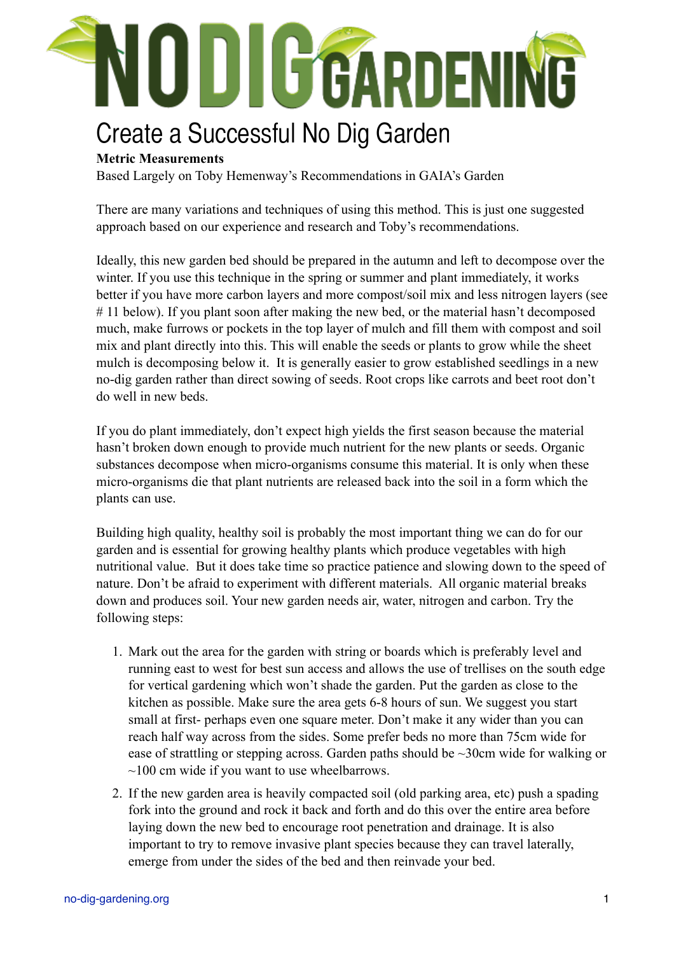

# Create a Successful No Dig Garden

### **Metric Measurements**

Based Largely on Toby Hemenway's Recommendations in GAIA's Garden

There are many variations and techniques of using this method. This is just one suggested approach based on our experience and research and Toby's recommendations.

Ideally, this new garden bed should be prepared in the autumn and left to decompose over the winter. If you use this technique in the spring or summer and plant immediately, it works better if you have more carbon layers and more compost/soil mix and less nitrogen layers (see #11 below). If you plant soon after making the new bed, or the material hasn't decomposed much, make furrows or pockets in the top layer of mulch and fill them with compost and soil mix and plant directly into this. This will enable the seeds or plants to grow while the sheet mulch is decomposing below it. It is generally easier to grow established seedlings in a new no-dig garden rather than direct sowing of seeds. Root crops like carrots and beet root don't do well in new beds.

If you do plant immediately, don't expect high yields the first season because the material hasn't broken down enough to provide much nutrient for the new plants or seeds. Organic substances decompose when micro-organisms consume this material. It is only when these micro-organisms die that plant nutrients are released back into the soil in a form which the plants can use.

Building high quality, healthy soil is probably the most important thing we can do for our garden and is essential for growing healthy plants which produce vegetables with high nutritional value. But it does take time so practice patience and slowing down to the speed of nature. Don't be afraid to experiment with different materials. All organic material breaks down and produces soil. Your new garden needs air, water, nitrogen and carbon. Try the following steps:

- 1. Mark out the area for the garden with string or boards which is preferably level and running east to west for best sun access and allows the use of trellises on the south edge for vertical gardening which won't shade the garden. Put the garden as close to the kitchen as possible. Make sure the area gets 6-8 hours of sun. We suggest you start small at first- perhaps even one square meter. Don't make it any wider than you can reach half way across from the sides. Some prefer beds no more than 75cm wide for ease of strattling or stepping across. Garden paths should be  $\sim$ 30cm wide for walking or  $\sim$ 100 cm wide if you want to use wheelbarrows.
- 2. If the new garden area is heavily compacted soil (old parking area, etc) push a spading fork into the ground and rock it back and forth and do this over the entire area before laying down the new bed to encourage root penetration and drainage. It is also important to try to remove invasive plant species because they can travel laterally, emerge from under the sides of the bed and then reinvade your bed.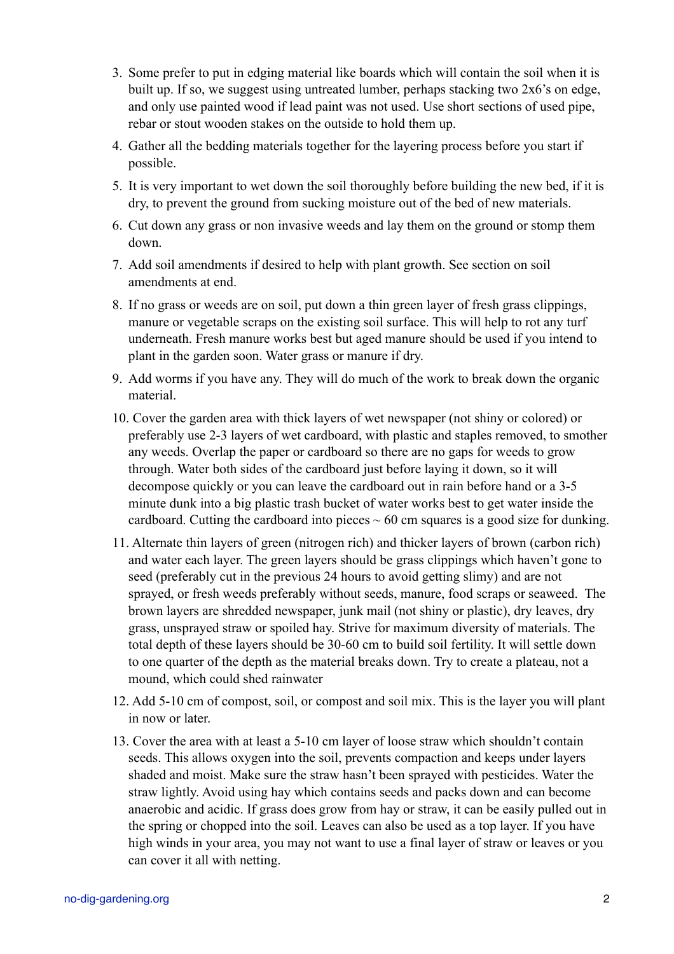- 3. Some prefer to put in edging material like boards which will contain the soil when it is built up. If so, we suggest using untreated lumber, perhaps stacking two 2x6's on edge, and only use painted wood if lead paint was not used. Use short sections of used pipe, rebar or stout wooden stakes on the outside to hold them up.
- 4. Gather all the bedding materials together for the layering process before you start if possible.
- 5. It is very important to wet down the soil thoroughly before building the new bed, if it is dry, to prevent the ground from sucking moisture out of the bed of new materials.
- 6. Cut down any grass or non invasive weeds and lay them on the ground or stomp them down.
- 7. Add soil amendments if desired to help with plant growth. See section on soil amendments at end.
- 8. If no grass or weeds are on soil, put down a thin green layer of fresh grass clippings, manure or vegetable scraps on the existing soil surface. This will help to rot any turf underneath. Fresh manure works best but aged manure should be used if you intend to plant in the garden soon. Water grass or manure if dry.
- 9. Add worms if you have any. They will do much of the work to break down the organic material.
- 10. Cover the garden area with thick layers of wet newspaper (not shiny or colored) or preferably use 2-3 layers of wet cardboard, with plastic and staples removed, to smother any weeds. Overlap the paper or cardboard so there are no gaps for weeds to grow through. Water both sides of the cardboard just before laying it down, so it will decompose quickly or you can leave the cardboard out in rain before hand or a 3-5 minute dunk into a big plastic trash bucket of water works best to get water inside the cardboard. Cutting the cardboard into pieces  $\sim 60$  cm squares is a good size for dunking.
- 11. Alternate thin layers of green (nitrogen rich) and thicker layers of brown (carbon rich) and water each layer. The green layers should be grass clippings which haven't gone to seed (preferably cut in the previous 24 hours to avoid getting slimy) and are not sprayed, or fresh weeds preferably without seeds, manure, food scraps or seaweed. The brown layers are shredded newspaper, junk mail (not shiny or plastic), dry leaves, dry grass, unsprayed straw or spoiled hay. Strive for maximum diversity of materials. The total depth of these layers should be 30-60 cm to build soil fertility. It will settle down to one quarter of the depth as the material breaks down. Try to create a plateau, not a mound, which could shed rainwater
- 12. Add 5-10 cm of compost, soil, or compost and soil mix. This is the layer you will plant in now or later.
- 13. Cover the area with at least a 5-10 cm layer of loose straw which shouldn't contain seeds. This allows oxygen into the soil, prevents compaction and keeps under layers shaded and moist. Make sure the straw hasn't been sprayed with pesticides. Water the straw lightly. Avoid using hay which contains seeds and packs down and can become anaerobic and acidic. If grass does grow from hay or straw, it can be easily pulled out in the spring or chopped into the soil. Leaves can also be used as a top layer. If you have high winds in your area, you may not want to use a final layer of straw or leaves or you can cover it all with netting.